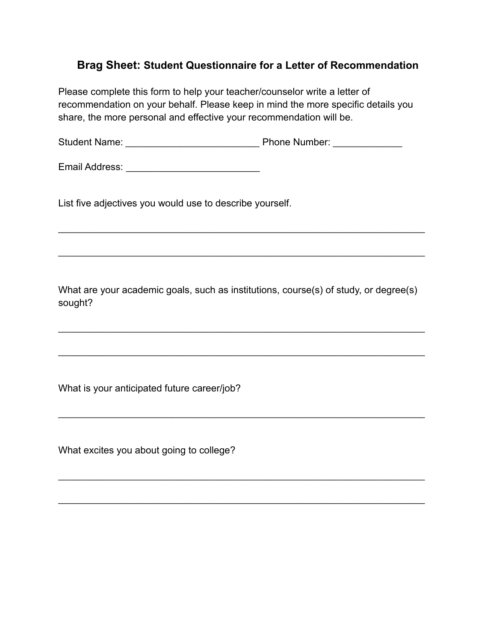## **Brag Sheet: Student Questionnaire for a Letter of Recommendation**

Please complete this form to help your teacher/counselor write a letter of recommendation on your behalf. Please keep in mind the more specific details you share, the more personal and effective your recommendation will be.

Student Name: \_\_\_\_\_\_\_\_\_\_\_\_\_\_\_\_\_\_\_\_\_\_\_\_\_\_\_ Phone Number: \_\_\_\_\_\_\_\_\_\_\_\_\_\_

Email Address: \_\_\_\_\_\_\_\_\_\_\_\_\_\_\_\_\_\_\_\_\_\_\_\_\_\_\_

List five adjectives you would use to describe yourself.

What are your academic goals, such as institutions, course(s) of study, or degree(s) sought?

\_\_\_\_\_\_\_\_\_\_\_\_\_\_\_\_\_\_\_\_\_\_\_\_\_\_\_\_\_\_\_\_\_\_\_\_\_\_\_\_\_\_\_\_\_\_\_\_\_\_\_\_\_\_\_\_\_\_\_\_\_\_\_\_\_\_\_\_\_\_\_\_\_\_

\_\_\_\_\_\_\_\_\_\_\_\_\_\_\_\_\_\_\_\_\_\_\_\_\_\_\_\_\_\_\_\_\_\_\_\_\_\_\_\_\_\_\_\_\_\_\_\_\_\_\_\_\_\_\_\_\_\_\_\_\_\_\_\_\_\_\_\_\_\_\_\_\_\_

\_\_\_\_\_\_\_\_\_\_\_\_\_\_\_\_\_\_\_\_\_\_\_\_\_\_\_\_\_\_\_\_\_\_\_\_\_\_\_\_\_\_\_\_\_\_\_\_\_\_\_\_\_\_\_\_\_\_\_\_\_\_\_\_\_\_\_\_\_\_\_\_\_\_

\_\_\_\_\_\_\_\_\_\_\_\_\_\_\_\_\_\_\_\_\_\_\_\_\_\_\_\_\_\_\_\_\_\_\_\_\_\_\_\_\_\_\_\_\_\_\_\_\_\_\_\_\_\_\_\_\_\_\_\_\_\_\_\_\_\_\_\_\_\_\_\_\_\_

\_\_\_\_\_\_\_\_\_\_\_\_\_\_\_\_\_\_\_\_\_\_\_\_\_\_\_\_\_\_\_\_\_\_\_\_\_\_\_\_\_\_\_\_\_\_\_\_\_\_\_\_\_\_\_\_\_\_\_\_\_\_\_\_\_\_\_\_\_\_\_\_\_\_

\_\_\_\_\_\_\_\_\_\_\_\_\_\_\_\_\_\_\_\_\_\_\_\_\_\_\_\_\_\_\_\_\_\_\_\_\_\_\_\_\_\_\_\_\_\_\_\_\_\_\_\_\_\_\_\_\_\_\_\_\_\_\_\_\_\_\_\_\_\_\_\_\_\_

\_\_\_\_\_\_\_\_\_\_\_\_\_\_\_\_\_\_\_\_\_\_\_\_\_\_\_\_\_\_\_\_\_\_\_\_\_\_\_\_\_\_\_\_\_\_\_\_\_\_\_\_\_\_\_\_\_\_\_\_\_\_\_\_\_\_\_\_\_\_\_\_\_\_

What is your anticipated future career/job?

What excites you about going to college?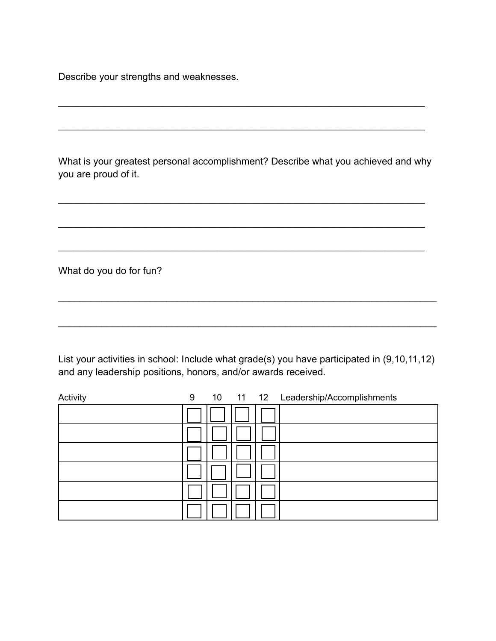Describe your strengths and weaknesses.

What is your greatest personal accomplishment? Describe what you achieved and why you are proud of it.

\_\_\_\_\_\_\_\_\_\_\_\_\_\_\_\_\_\_\_\_\_\_\_\_\_\_\_\_\_\_\_\_\_\_\_\_\_\_\_\_\_\_\_\_\_\_\_\_\_\_\_\_\_\_\_\_\_\_\_\_\_\_\_\_\_\_\_\_\_\_\_\_\_\_

\_\_\_\_\_\_\_\_\_\_\_\_\_\_\_\_\_\_\_\_\_\_\_\_\_\_\_\_\_\_\_\_\_\_\_\_\_\_\_\_\_\_\_\_\_\_\_\_\_\_\_\_\_\_\_\_\_\_\_\_\_\_\_\_\_\_\_\_\_\_\_\_\_\_

\_\_\_\_\_\_\_\_\_\_\_\_\_\_\_\_\_\_\_\_\_\_\_\_\_\_\_\_\_\_\_\_\_\_\_\_\_\_\_\_\_\_\_\_\_\_\_\_\_\_\_\_\_\_\_\_\_\_\_\_\_\_\_\_\_\_\_\_\_\_\_\_\_\_

\_\_\_\_\_\_\_\_\_\_\_\_\_\_\_\_\_\_\_\_\_\_\_\_\_\_\_\_\_\_\_\_\_\_\_\_\_\_\_\_\_\_\_\_\_\_\_\_\_\_\_\_\_\_\_\_\_\_\_\_\_\_\_\_\_\_\_\_\_\_\_\_\_\_

\_\_\_\_\_\_\_\_\_\_\_\_\_\_\_\_\_\_\_\_\_\_\_\_\_\_\_\_\_\_\_\_\_\_\_\_\_\_\_\_\_\_\_\_\_\_\_\_\_\_\_\_\_\_\_\_\_\_\_\_\_\_\_\_\_\_\_\_\_\_\_\_\_\_

What do you do for fun?

List your activities in school: Include what grade(s) you have participated in (9,10,11,12) and any leadership positions, honors, and/or awards received.

\_\_\_\_\_\_\_\_\_\_\_\_\_\_\_\_\_\_\_\_\_\_\_\_\_\_\_\_\_\_\_\_\_\_\_\_\_\_\_\_\_\_\_\_\_\_\_\_\_\_\_\_\_\_\_\_\_\_\_\_\_\_\_\_\_\_\_\_\_\_

 $\mathcal{L}_\text{max} = \mathcal{L}_\text{max} = \mathcal{L}_\text{max} = \mathcal{L}_\text{max} = \mathcal{L}_\text{max} = \mathcal{L}_\text{max} = \mathcal{L}_\text{max} = \mathcal{L}_\text{max} = \mathcal{L}_\text{max} = \mathcal{L}_\text{max} = \mathcal{L}_\text{max} = \mathcal{L}_\text{max} = \mathcal{L}_\text{max} = \mathcal{L}_\text{max} = \mathcal{L}_\text{max} = \mathcal{L}_\text{max} = \mathcal{L}_\text{max} = \mathcal{L}_\text{max} = \mathcal{$ 

| Activity | 9 |  | 10 11 12 Leadership/Accomplishments |
|----------|---|--|-------------------------------------|
|          |   |  |                                     |
|          |   |  |                                     |
|          |   |  |                                     |
|          |   |  |                                     |
|          |   |  |                                     |
|          |   |  |                                     |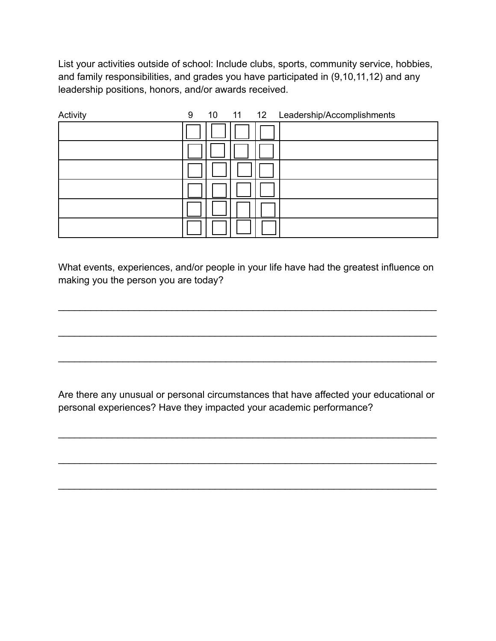List your activities outside of school: Include clubs, sports, community service, hobbies, and family responsibilities, and grades you have participated in (9,10,11,12) and any leadership positions, honors, and/or awards received.

| Activity | 9 |  | 10 11 12 Leadership/Accomplishments |
|----------|---|--|-------------------------------------|
|          |   |  |                                     |
|          |   |  |                                     |
|          |   |  |                                     |
|          |   |  |                                     |
|          |   |  |                                     |
|          |   |  |                                     |

What events, experiences, and/or people in your life have had the greatest influence on making you the person you are today?

\_\_\_\_\_\_\_\_\_\_\_\_\_\_\_\_\_\_\_\_\_\_\_\_\_\_\_\_\_\_\_\_\_\_\_\_\_\_\_\_\_\_\_\_\_\_\_\_\_\_\_\_\_\_\_\_\_\_\_\_\_\_\_\_\_\_\_\_\_\_

 $\mathcal{L}_\text{max} = \mathcal{L}_\text{max} = \mathcal{L}_\text{max} = \mathcal{L}_\text{max} = \mathcal{L}_\text{max} = \mathcal{L}_\text{max} = \mathcal{L}_\text{max} = \mathcal{L}_\text{max} = \mathcal{L}_\text{max} = \mathcal{L}_\text{max} = \mathcal{L}_\text{max} = \mathcal{L}_\text{max} = \mathcal{L}_\text{max} = \mathcal{L}_\text{max} = \mathcal{L}_\text{max} = \mathcal{L}_\text{max} = \mathcal{L}_\text{max} = \mathcal{L}_\text{max} = \mathcal{$ 

\_\_\_\_\_\_\_\_\_\_\_\_\_\_\_\_\_\_\_\_\_\_\_\_\_\_\_\_\_\_\_\_\_\_\_\_\_\_\_\_\_\_\_\_\_\_\_\_\_\_\_\_\_\_\_\_\_\_\_\_\_\_\_\_\_\_\_\_\_\_

Are there any unusual or personal circumstances that have affected your educational or personal experiences? Have they impacted your academic performance?

 $\mathcal{L}_\text{max} = \mathcal{L}_\text{max} = \mathcal{L}_\text{max} = \mathcal{L}_\text{max} = \mathcal{L}_\text{max} = \mathcal{L}_\text{max} = \mathcal{L}_\text{max} = \mathcal{L}_\text{max} = \mathcal{L}_\text{max} = \mathcal{L}_\text{max} = \mathcal{L}_\text{max} = \mathcal{L}_\text{max} = \mathcal{L}_\text{max} = \mathcal{L}_\text{max} = \mathcal{L}_\text{max} = \mathcal{L}_\text{max} = \mathcal{L}_\text{max} = \mathcal{L}_\text{max} = \mathcal{$ 

\_\_\_\_\_\_\_\_\_\_\_\_\_\_\_\_\_\_\_\_\_\_\_\_\_\_\_\_\_\_\_\_\_\_\_\_\_\_\_\_\_\_\_\_\_\_\_\_\_\_\_\_\_\_\_\_\_\_\_\_\_\_\_\_\_\_\_\_\_\_

 $\mathcal{L}_\text{max} = \mathcal{L}_\text{max} = \mathcal{L}_\text{max} = \mathcal{L}_\text{max} = \mathcal{L}_\text{max} = \mathcal{L}_\text{max} = \mathcal{L}_\text{max} = \mathcal{L}_\text{max} = \mathcal{L}_\text{max} = \mathcal{L}_\text{max} = \mathcal{L}_\text{max} = \mathcal{L}_\text{max} = \mathcal{L}_\text{max} = \mathcal{L}_\text{max} = \mathcal{L}_\text{max} = \mathcal{L}_\text{max} = \mathcal{L}_\text{max} = \mathcal{L}_\text{max} = \mathcal{$